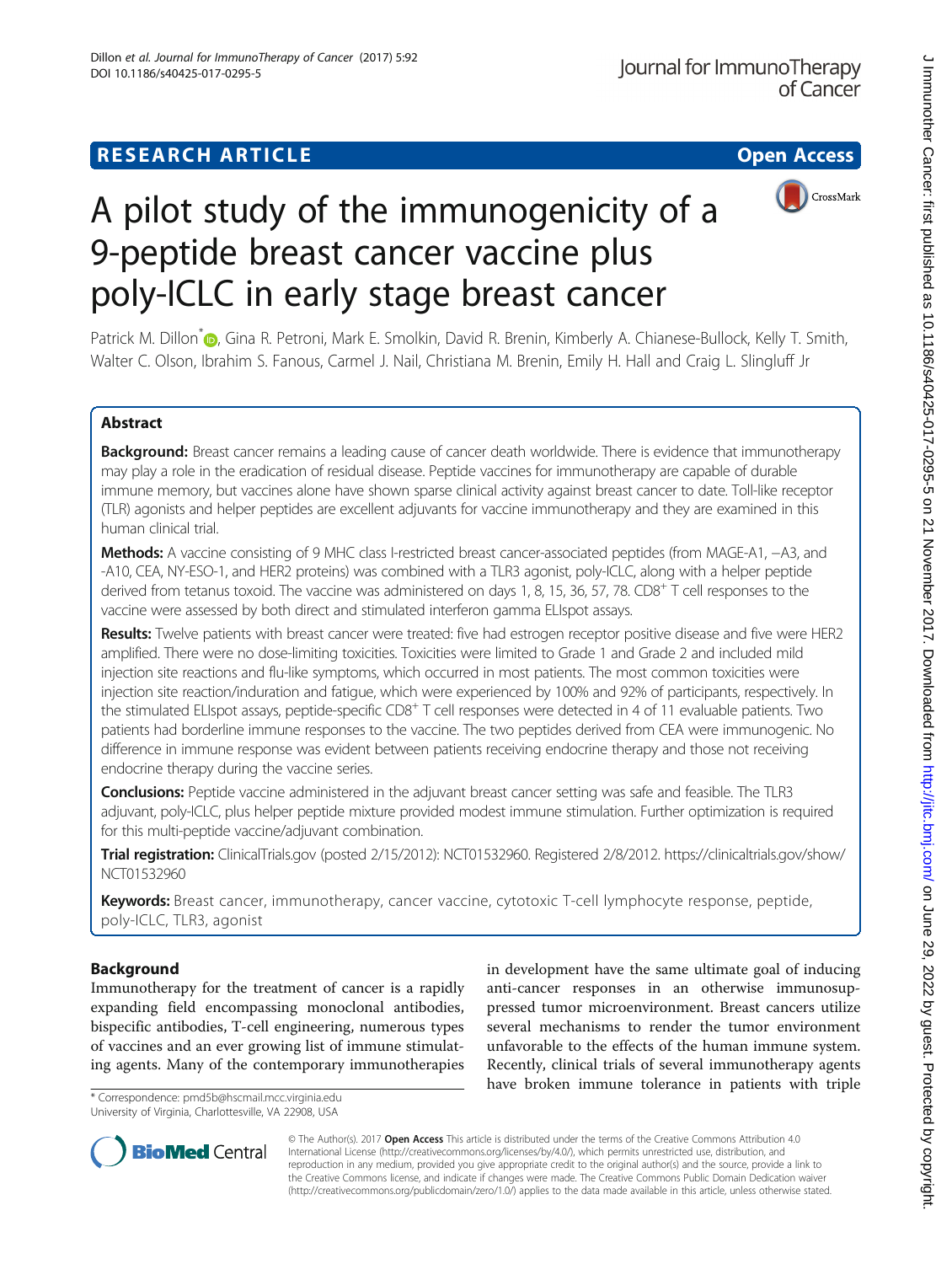# **RESEARCH ARTICLE Example 2014 12:30 The Contract of Contract ACCESS**





A pilot study of the immunogenicity of a 9-peptide breast cancer vaccine plus poly-ICLC in early stage breast cancer

Patrick M. Dillon<sup>[\\*](http://orcid.org/0000-0003-0622-725X)</sup> <sub>(D</sub>, Gina R. Petroni, Mark E. Smolkin, David R. Brenin, Kimberly A. Chianese-Bullock, Kelly T. Smith, Walter C. Olson, Ibrahim S. Fanous, Carmel J. Nail, Christiana M. Brenin, Emily H. Hall and Craig L. Slingluff Jr

# Abstract

Background: Breast cancer remains a leading cause of cancer death worldwide. There is evidence that immunotherapy may play a role in the eradication of residual disease. Peptide vaccines for immunotherapy are capable of durable immune memory, but vaccines alone have shown sparse clinical activity against breast cancer to date. Toll-like receptor (TLR) agonists and helper peptides are excellent adjuvants for vaccine immunotherapy and they are examined in this human clinical trial.

Methods: A vaccine consisting of 9 MHC class I-restricted breast cancer-associated peptides (from MAGE-A1, -A3, and -A10, CEA, NY-ESO-1, and HER2 proteins) was combined with a TLR3 agonist, poly-ICLC, along with a helper peptide derived from tetanus toxoid. The vaccine was administered on days 1, 8, 15, 36, 57, 78. CD8<sup>+</sup> T cell responses to the vaccine were assessed by both direct and stimulated interferon gamma ELIspot assays.

Results: Twelve patients with breast cancer were treated: five had estrogen receptor positive disease and five were HER2 amplified. There were no dose-limiting toxicities. Toxicities were limited to Grade 1 and Grade 2 and included mild injection site reactions and flu-like symptoms, which occurred in most patients. The most common toxicities were injection site reaction/induration and fatigue, which were experienced by 100% and 92% of participants, respectively. In the stimulated ELIspot assays, peptide-specific CD8<sup>+</sup> T cell responses were detected in 4 of 11 evaluable patients. Two patients had borderline immune responses to the vaccine. The two peptides derived from CEA were immunogenic. No difference in immune response was evident between patients receiving endocrine therapy and those not receiving endocrine therapy during the vaccine series.

Conclusions: Peptide vaccine administered in the adjuvant breast cancer setting was safe and feasible. The TLR3 adjuvant, poly-ICLC, plus helper peptide mixture provided modest immune stimulation. Further optimization is required for this multi-peptide vaccine/adjuvant combination.

Trial registration: [ClinicalTrials.gov](http://clinicaltrials.gov) (posted 2/15/2012): NCT01532960. Registered 2/8/2012. [https://clinicaltrials.gov/show/](https://clinicaltrials.gov/show/NCT01532960) [NCT01532960](https://clinicaltrials.gov/show/NCT01532960)

Keywords: Breast cancer, immunotherapy, cancer vaccine, cytotoxic T-cell lymphocyte response, peptide, poly-ICLC, TLR3, agonist

# Background

Immunotherapy for the treatment of cancer is a rapidly expanding field encompassing monoclonal antibodies, bispecific antibodies, T-cell engineering, numerous types of vaccines and an ever growing list of immune stimulating agents. Many of the contemporary immunotherapies

\* Correspondence: [pmd5b@hscmail.mcc.virginia.edu](mailto:pmd5b@hscmail.mcc.virginia.edu) University of Virginia, Charlottesville, VA 22908, USA

in development have the same ultimate goal of inducing anti-cancer responses in an otherwise immunosuppressed tumor microenvironment. Breast cancers utilize several mechanisms to render the tumor environment unfavorable to the effects of the human immune system. Recently, clinical trials of several immunotherapy agents have broken immune tolerance in patients with triple



© The Author(s). 2017 **Open Access** This article is distributed under the terms of the Creative Commons Attribution 4.0 International License [\(http://creativecommons.org/licenses/by/4.0/](http://creativecommons.org/licenses/by/4.0/)), which permits unrestricted use, distribution, and reproduction in any medium, provided you give appropriate credit to the original author(s) and the source, provide a link to the Creative Commons license, and indicate if changes were made. The Creative Commons Public Domain Dedication waiver [\(http://creativecommons.org/publicdomain/zero/1.0/](http://creativecommons.org/publicdomain/zero/1.0/)) applies to the data made available in this article, unless otherwise stated.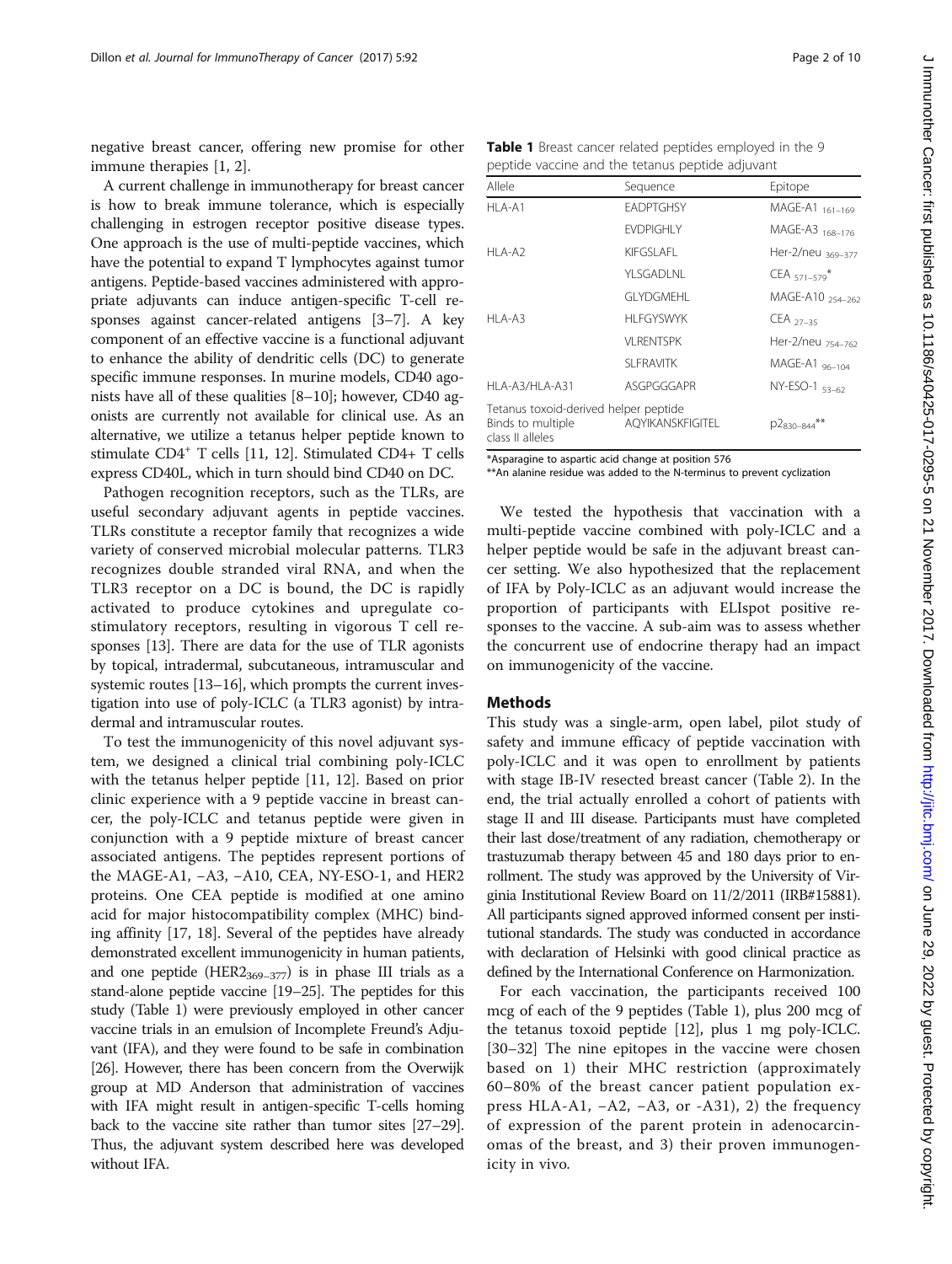negative breast cancer, offering new promise for other immune therapies [[1, 2\]](#page-7-0).

A current challenge in immunotherapy for breast cancer is how to break immune tolerance, which is especially challenging in estrogen receptor positive disease types. One approach is the use of multi-peptide vaccines, which have the potential to expand T lymphocytes against tumor antigens. Peptide-based vaccines administered with appropriate adjuvants can induce antigen-specific T-cell responses against cancer-related antigens [[3](#page-7-0)–[7](#page-7-0)]. A key component of an effective vaccine is a functional adjuvant to enhance the ability of dendritic cells (DC) to generate specific immune responses. In murine models, CD40 agonists have all of these qualities [\[8](#page-7-0)–[10\]](#page-7-0); however, CD40 agonists are currently not available for clinical use. As an alternative, we utilize a tetanus helper peptide known to stimulate CD4+ T cells [\[11,](#page-7-0) [12](#page-8-0)]. Stimulated CD4+ T cells express CD40L, which in turn should bind CD40 on DC.

Pathogen recognition receptors, such as the TLRs, are useful secondary adjuvant agents in peptide vaccines. TLRs constitute a receptor family that recognizes a wide variety of conserved microbial molecular patterns. TLR3 recognizes double stranded viral RNA, and when the TLR3 receptor on a DC is bound, the DC is rapidly activated to produce cytokines and upregulate costimulatory receptors, resulting in vigorous T cell responses [\[13\]](#page-8-0). There are data for the use of TLR agonists by topical, intradermal, subcutaneous, intramuscular and systemic routes [[13](#page-8-0)–[16\]](#page-8-0), which prompts the current investigation into use of poly-ICLC (a TLR3 agonist) by intradermal and intramuscular routes.

To test the immunogenicity of this novel adjuvant system, we designed a clinical trial combining poly-ICLC with the tetanus helper peptide [\[11](#page-7-0), [12\]](#page-8-0). Based on prior clinic experience with a 9 peptide vaccine in breast cancer, the poly-ICLC and tetanus peptide were given in conjunction with a 9 peptide mixture of breast cancer associated antigens. The peptides represent portions of the MAGE-A1, −A3, −A10, CEA, NY-ESO-1, and HER2 proteins. One CEA peptide is modified at one amino acid for major histocompatibility complex (MHC) binding affinity [[17, 18\]](#page-8-0). Several of the peptides have already demonstrated excellent immunogenicity in human patients, and one peptide (HER2 $_{369-377}$ ) is in phase III trials as a stand-alone peptide vaccine [\[19](#page-8-0)–[25](#page-8-0)]. The peptides for this study (Table 1) were previously employed in other cancer vaccine trials in an emulsion of Incomplete Freund's Adjuvant (IFA), and they were found to be safe in combination [[26](#page-8-0)]. However, there has been concern from the Overwijk group at MD Anderson that administration of vaccines with IFA might result in antigen-specific T-cells homing back to the vaccine site rather than tumor sites [[27](#page-8-0)–[29](#page-8-0)]. Thus, the adjuvant system described here was developed without IFA.

Table 1 Breast cancer related peptides employed in the 9 peptide vaccine and the tetanus peptide adjuvant

| Allele                                                                         | Sequence         | Epitope                       |
|--------------------------------------------------------------------------------|------------------|-------------------------------|
| HI A-A1                                                                        | <b>FADPTGHSY</b> | MAGE-A1 161-169               |
|                                                                                | <b>FVDPIGHIY</b> | MAGE-A3 <sub>168-176</sub>    |
| HLA-A2                                                                         | KIFGSI AFI       | Her-2/neu <sub>369-377</sub>  |
|                                                                                | YLSGADLNL        | $CEA_{571-579}$ *             |
|                                                                                | GI YDGMEHI       | MAGE-A10 254-262              |
| $HI A-A3$                                                                      | <b>HLFGYSWYK</b> | CEA $27-35$                   |
|                                                                                | VI RENTSPK       | Her-2/neu <sub>754-762</sub>  |
|                                                                                | <b>SLFRAVITK</b> | MAGE-A1 <sub>96-104</sub>     |
| HLA-A3/HLA-A31                                                                 | ASGPGGGAPR       | NY-ESO-1 53-62                |
| Tetanus toxoid-derived helper peptide<br>Binds to multiple<br>class II alleles | AQYIKANSKFIGITEL | $**$<br>P <sub>2830-844</sub> |

\*Asparagine to aspartic acid change at position 576

\*\*An alanine residue was added to the N-terminus to prevent cyclization

We tested the hypothesis that vaccination with a multi-peptide vaccine combined with poly-ICLC and a helper peptide would be safe in the adjuvant breast cancer setting. We also hypothesized that the replacement of IFA by Poly-ICLC as an adjuvant would increase the proportion of participants with ELIspot positive responses to the vaccine. A sub-aim was to assess whether the concurrent use of endocrine therapy had an impact on immunogenicity of the vaccine.

### Methods

This study was a single-arm, open label, pilot study of safety and immune efficacy of peptide vaccination with poly-ICLC and it was open to enrollment by patients with stage IB-IV resected breast cancer (Table [2\)](#page-2-0). In the end, the trial actually enrolled a cohort of patients with stage II and III disease. Participants must have completed their last dose/treatment of any radiation, chemotherapy or trastuzumab therapy between 45 and 180 days prior to enrollment. The study was approved by the University of Virginia Institutional Review Board on 11/2/2011 (IRB#15881). All participants signed approved informed consent per institutional standards. The study was conducted in accordance with declaration of Helsinki with good clinical practice as defined by the International Conference on Harmonization.

For each vaccination, the participants received 100 mcg of each of the 9 peptides (Table 1), plus 200 mcg of the tetanus toxoid peptide [\[12\]](#page-8-0), plus 1 mg poly-ICLC. [[30](#page-8-0)–[32](#page-8-0)] The nine epitopes in the vaccine were chosen based on 1) their MHC restriction (approximately 60–80% of the breast cancer patient population express HLA-A1, −A2, −A3, or -A31), 2) the frequency of expression of the parent protein in adenocarcinomas of the breast, and 3) their proven immunogenicity in vivo.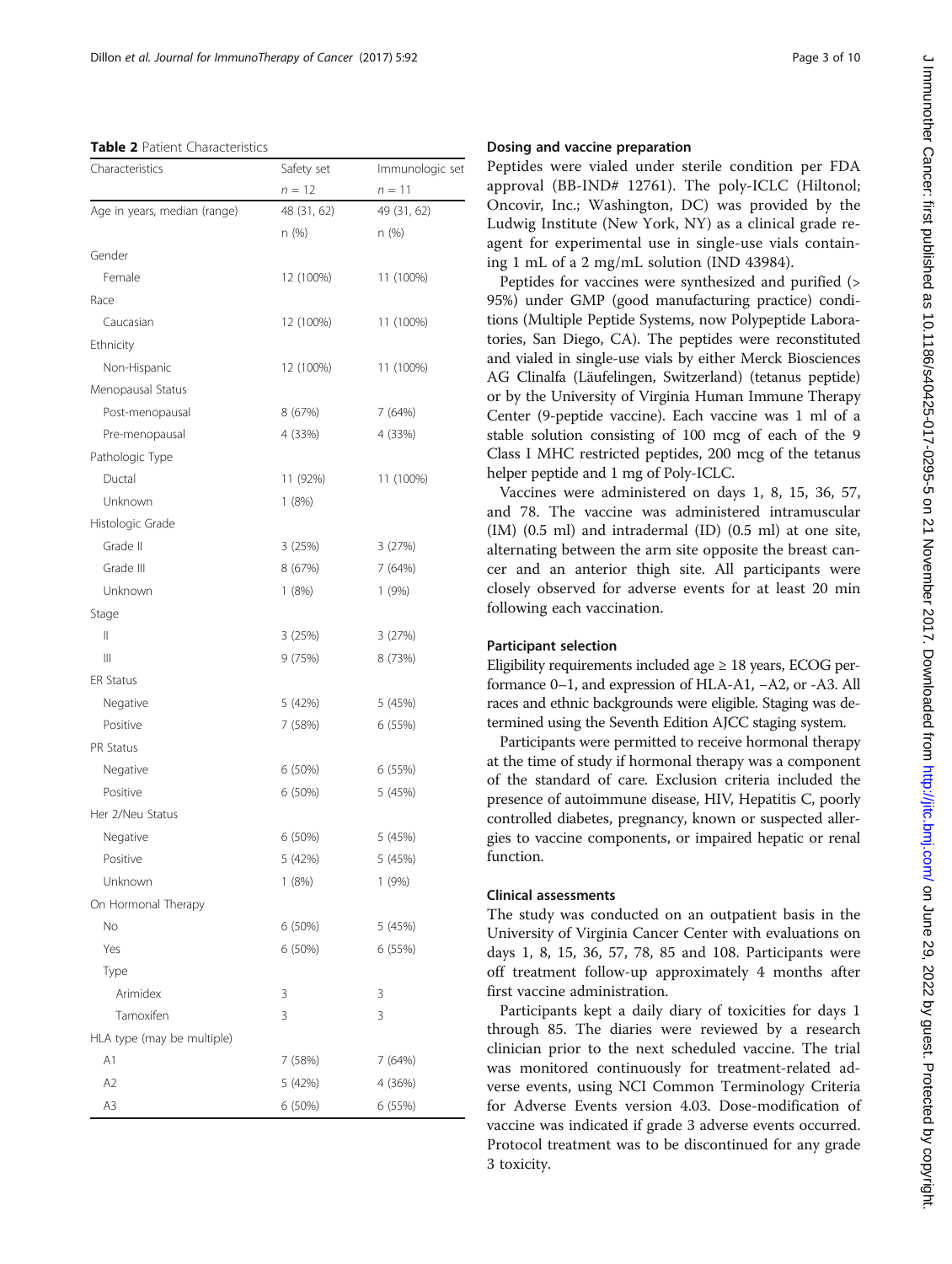<span id="page-2-0"></span>Table 2 Patient Characteristics

| Characteristics              | Safety set  | Immunologic set |  |
|------------------------------|-------------|-----------------|--|
|                              | $n = 12$    | $n = 11$        |  |
| Age in years, median (range) | 48 (31, 62) | 49 (31, 62)     |  |
|                              | n (%)       | n (%)           |  |
| Gender                       |             |                 |  |
| Female                       | 12 (100%)   | 11 (100%)       |  |
| Race                         |             |                 |  |
| Caucasian                    | 12 (100%)   | 11 (100%)       |  |
| Ethnicity                    |             |                 |  |
| Non-Hispanic                 | 12 (100%)   | 11 (100%)       |  |
| Menopausal Status            |             |                 |  |
| Post-menopausal              | 8 (67%)     | 7 (64%)         |  |
| Pre-menopausal               | 4 (33%)     | 4 (33%)         |  |
| Pathologic Type              |             |                 |  |
| Ductal                       | 11 (92%)    | 11 (100%)       |  |
| Unknown                      | 1(8%)       |                 |  |
| Histologic Grade             |             |                 |  |
| Grade II                     | 3(25%)      | 3 (27%)         |  |
| Grade III                    | 8 (67%)     | 7 (64%)         |  |
| Unknown                      | 1(8%)       | 1(9%)           |  |
| Stage                        |             |                 |  |
| Ш                            | 3 (25%)     | 3(27%)          |  |
| $\mathbb{H}$                 | 9 (75%)     | 8 (73%)         |  |
| <b>ER Status</b>             |             |                 |  |
| Negative                     | 5 (42%)     | 5 (45%)         |  |
| Positive                     | 7 (58%)     | 6 (55%)         |  |
| <b>PR Status</b>             |             |                 |  |
| Negative                     | 6 (50%)     | 6 (55%)         |  |
| Positive                     | 6 (50%)     | 5 (45%)         |  |
| Her 2/Neu Status             |             |                 |  |
| Negative                     | 6 (50%)     | 5 (45%)         |  |
| Positive                     | 5 (42%)     | 5 (45%)         |  |
| Unknown                      | 1 (8%)      | 1 (9%)          |  |
| On Hormonal Therapy          |             |                 |  |
| No                           | 6 (50%)     | 5 (45%)         |  |
| Yes                          | 6 (50%)     | 6 (55%)         |  |
| Type                         |             |                 |  |
| Arimidex                     | 3           | 3               |  |
| Tamoxifen                    | 3           | 3               |  |
| HLA type (may be multiple)   |             |                 |  |
| A1                           | 7 (58%)     | 7 (64%)         |  |
| A <sub>2</sub>               | 5 (42%)     | 4 (36%)         |  |
| A3                           | 6 (50%)     | 6 (55%)         |  |
|                              |             |                 |  |

# J Immunother Cancer: first published as 10.1196/s40425-017-0295-5 on 21 November 2017. Downloaded from http://jitc.bmj.com/ on June 29, 2022 by guest. Protected by copyright J mmunother Cancer: tirst published as 10.1186/s40425-017-0295-5 on 21 November 2017. Downloaded from <http://jitc.bmj.com/> on June 29, 2022 by guest. Protected by copyright.

### Dosing and vaccine preparation

Peptides were vialed under sterile condition per FDA approval (BB-IND# 12761). The poly-ICLC (Hiltonol; Oncovir, Inc.; Washington, DC) was provided by the Ludwig Institute (New York, NY) as a clinical grade reagent for experimental use in single-use vials containing 1 mL of a 2 mg/mL solution (IND 43984).

Peptides for vaccines were synthesized and purified (> 95%) under GMP (good manufacturing practice) conditions (Multiple Peptide Systems, now Polypeptide Laboratories, San Diego, CA). The peptides were reconstituted and vialed in single-use vials by either Merck Biosciences AG Clinalfa (Läufelingen, Switzerland) (tetanus peptide) or by the University of Virginia Human Immune Therapy Center (9-peptide vaccine). Each vaccine was 1 ml of a stable solution consisting of 100 mcg of each of the 9 Class I MHC restricted peptides, 200 mcg of the tetanus helper peptide and 1 mg of Poly-ICLC.

Vaccines were administered on days 1, 8, 15, 36, 57, and 78. The vaccine was administered intramuscular (IM) (0.5 ml) and intradermal (ID) (0.5 ml) at one site, alternating between the arm site opposite the breast cancer and an anterior thigh site. All participants were closely observed for adverse events for at least 20 min following each vaccination.

## Participant selection

Eligibility requirements included age  $\geq 18$  years, ECOG performance 0–1, and expression of HLA-A1, −A2, or -A3. All races and ethnic backgrounds were eligible. Staging was determined using the Seventh Edition AJCC staging system.

Participants were permitted to receive hormonal therapy at the time of study if hormonal therapy was a component of the standard of care. Exclusion criteria included the presence of autoimmune disease, HIV, Hepatitis C, poorly controlled diabetes, pregnancy, known or suspected allergies to vaccine components, or impaired hepatic or renal function.

## Clinical assessments

The study was conducted on an outpatient basis in the University of Virginia Cancer Center with evaluations on days 1, 8, 15, 36, 57, 78, 85 and 108. Participants were off treatment follow-up approximately 4 months after first vaccine administration.

Participants kept a daily diary of toxicities for days 1 through 85. The diaries were reviewed by a research clinician prior to the next scheduled vaccine. The trial was monitored continuously for treatment-related adverse events, using NCI Common Terminology Criteria for Adverse Events version 4.03. Dose-modification of vaccine was indicated if grade 3 adverse events occurred. Protocol treatment was to be discontinued for any grade 3 toxicity.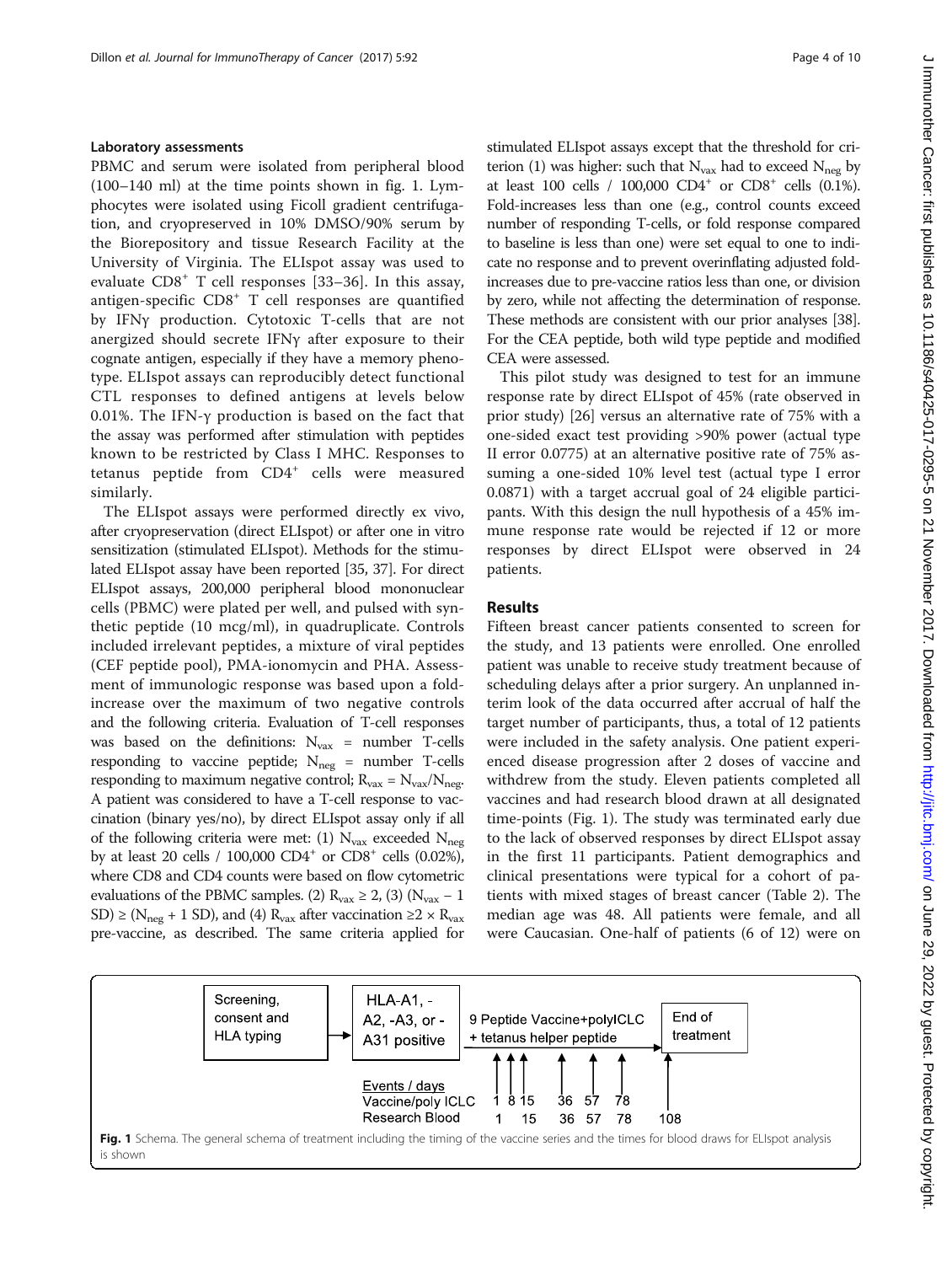### Laboratory assessments

PBMC and serum were isolated from peripheral blood (100–140 ml) at the time points shown in fig. 1. Lymphocytes were isolated using Ficoll gradient centrifugation, and cryopreserved in 10% DMSO/90% serum by the Biorepository and tissue Research Facility at the University of Virginia. The ELIspot assay was used to evaluate  $CD8<sup>+</sup>$  T cell responses [[33](#page-8-0)–[36\]](#page-8-0). In this assay, antigen-specific CD8<sup>+</sup> T cell responses are quantified by IFNγ production. Cytotoxic T-cells that are not anergized should secrete IFNγ after exposure to their cognate antigen, especially if they have a memory phenotype. ELIspot assays can reproducibly detect functional CTL responses to defined antigens at levels below 0.01%. The IFN-γ production is based on the fact that the assay was performed after stimulation with peptides known to be restricted by Class I MHC. Responses to tetanus peptide from CD4<sup>+</sup> cells were measured similarly.

The ELIspot assays were performed directly ex vivo, after cryopreservation (direct ELIspot) or after one in vitro sensitization (stimulated ELIspot). Methods for the stimulated ELIspot assay have been reported [[35](#page-8-0), [37\]](#page-8-0). For direct ELIspot assays, 200,000 peripheral blood mononuclear cells (PBMC) were plated per well, and pulsed with synthetic peptide (10 mcg/ml), in quadruplicate. Controls included irrelevant peptides, a mixture of viral peptides (CEF peptide pool), PMA-ionomycin and PHA. Assessment of immunologic response was based upon a foldincrease over the maximum of two negative controls and the following criteria. Evaluation of T-cell responses was based on the definitions:  $N_{\text{vax}}$  = number T-cells responding to vaccine peptide;  $N_{\text{neg}}$  = number T-cells responding to maximum negative control;  $R_{\text{vax}} = N_{\text{vax}}/N_{\text{neq}}$ . A patient was considered to have a T-cell response to vaccination (binary yes/no), by direct ELIspot assay only if all of the following criteria were met: (1)  $N_{\text{vax}}$  exceeded  $N_{\text{neg}}$ by at least 20 cells /  $100,000$  CD4<sup>+</sup> or CD8<sup>+</sup> cells  $(0.02\%)$ , where CD8 and CD4 counts were based on flow cytometric evaluations of the PBMC samples. (2) R<sub>vax</sub> ≥ 2, (3) (N<sub>vax</sub> – 1 SD) ≥ (N<sub>neg</sub> + 1 SD), and (4) R<sub>vax</sub> after vaccination ≥2 × R<sub>vax</sub> pre-vaccine, as described. The same criteria applied for

stimulated ELIspot assays except that the threshold for criterion (1) was higher: such that  $N_{\text{vax}}$  had to exceed  $N_{\text{neg}}$  by at least 100 cells /  $100,000$  CD4<sup>+</sup> or CD8<sup>+</sup> cells (0.1%). Fold-increases less than one (e.g., control counts exceed number of responding T-cells, or fold response compared to baseline is less than one) were set equal to one to indicate no response and to prevent overinflating adjusted foldincreases due to pre-vaccine ratios less than one, or division by zero, while not affecting the determination of response. These methods are consistent with our prior analyses [\[38](#page-8-0)]. For the CEA peptide, both wild type peptide and modified CEA were assessed.

This pilot study was designed to test for an immune response rate by direct ELIspot of 45% (rate observed in prior study) [[26](#page-8-0)] versus an alternative rate of 75% with a one-sided exact test providing >90% power (actual type II error 0.0775) at an alternative positive rate of 75% assuming a one-sided 10% level test (actual type I error 0.0871) with a target accrual goal of 24 eligible participants. With this design the null hypothesis of a 45% immune response rate would be rejected if 12 or more responses by direct ELIspot were observed in 24 patients.

### Results

Fifteen breast cancer patients consented to screen for the study, and 13 patients were enrolled. One enrolled patient was unable to receive study treatment because of scheduling delays after a prior surgery. An unplanned interim look of the data occurred after accrual of half the target number of participants, thus, a total of 12 patients were included in the safety analysis. One patient experienced disease progression after 2 doses of vaccine and withdrew from the study. Eleven patients completed all vaccines and had research blood drawn at all designated time-points (Fig. 1). The study was terminated early due to the lack of observed responses by direct ELIspot assay in the first 11 participants. Patient demographics and clinical presentations were typical for a cohort of patients with mixed stages of breast cancer (Table [2](#page-2-0)). The median age was 48. All patients were female, and all were Caucasian. One-half of patients (6 of 12) were on

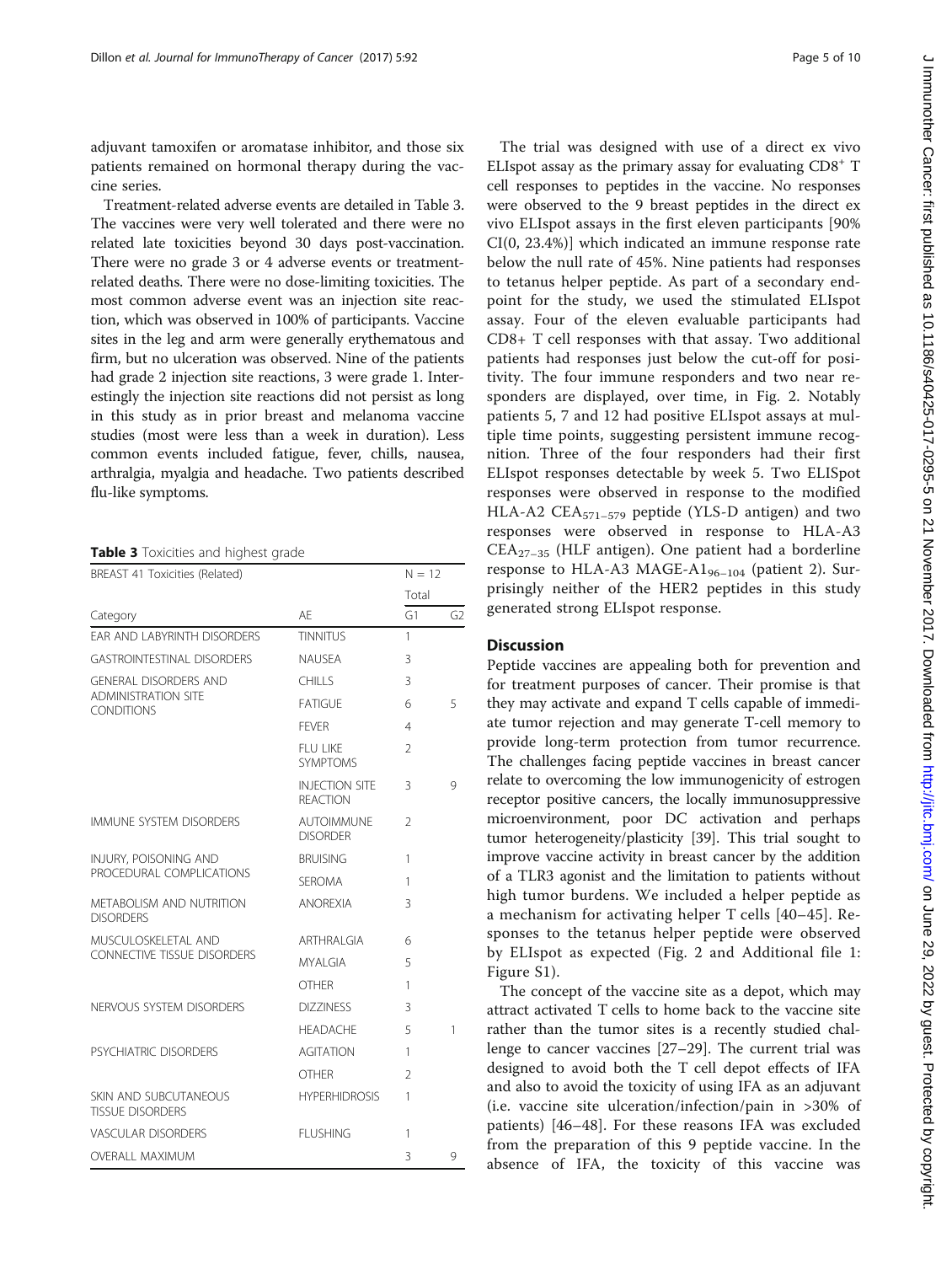adjuvant tamoxifen or aromatase inhibitor, and those six patients remained on hormonal therapy during the vaccine series.

Treatment-related adverse events are detailed in Table 3. The vaccines were very well tolerated and there were no related late toxicities beyond 30 days post-vaccination. There were no grade 3 or 4 adverse events or treatmentrelated deaths. There were no dose-limiting toxicities. The most common adverse event was an injection site reaction, which was observed in 100% of participants. Vaccine sites in the leg and arm were generally erythematous and firm, but no ulceration was observed. Nine of the patients had grade 2 injection site reactions, 3 were grade 1. Interestingly the injection site reactions did not persist as long in this study as in prior breast and melanoma vaccine studies (most were less than a week in duration). Less common events included fatigue, fever, chills, nausea, arthralgia, myalgia and headache. Two patients described flu-like symptoms.

Table 3 Toxicities and highest grade

| BREAST 41 Toxicities (Related)                      |                                          |                | $N = 12$       |  |
|-----------------------------------------------------|------------------------------------------|----------------|----------------|--|
|                                                     |                                          | Total          |                |  |
| Category                                            | AF                                       | G1             | G <sub>2</sub> |  |
| EAR AND LABYRINTH DISORDERS                         | <b>TINNITUS</b>                          | 1              |                |  |
| <b>GASTROINTESTINAL DISORDERS</b>                   | <b>NAUSEA</b>                            | 3              |                |  |
| <b>GENERAL DISORDERS AND</b>                        | <b>CHILLS</b>                            | 3              |                |  |
| <b>ADMINISTRATION SITE</b><br><b>CONDITIONS</b>     | <b>FATIGUE</b>                           | 6              | 5              |  |
|                                                     | <b>FFVFR</b>                             | $\overline{4}$ |                |  |
|                                                     | FI U LIKE<br><b>SYMPTOMS</b>             | $\mathfrak{D}$ |                |  |
|                                                     | <b>INJECTION SITE</b><br><b>REACTION</b> | 3              | 9              |  |
| <b>IMMUNE SYSTEM DISORDERS</b>                      | <b>AUTOIMMUNE</b><br><b>DISORDER</b>     | $\mathfrak{D}$ |                |  |
| INJURY, POISONING AND<br>PROCEDURAL COMPLICATIONS   | <b>BRUISING</b>                          | 1              |                |  |
|                                                     | <b>SEROMA</b>                            | 1              |                |  |
| <b>METABOLISM AND NUTRITION</b><br><b>DISORDERS</b> | <b>ANOREXIA</b>                          | 3              |                |  |
| MUSCULOSKELETAL AND                                 | ARTHRAI GIA                              | 6              |                |  |
| <b>CONNECTIVE TISSUE DISORDERS</b>                  | <b>MYALGIA</b>                           | 5              |                |  |
|                                                     | <b>OTHER</b>                             | 1              |                |  |
| NERVOUS SYSTEM DISORDERS                            | <b>DIZZINESS</b>                         | 3              |                |  |
|                                                     | <b>HEADACHE</b>                          | 5              | 1              |  |
| PSYCHIATRIC DISORDERS                               | <b>AGITATION</b>                         | 1              |                |  |
|                                                     | <b>OTHER</b>                             | $\mathcal{P}$  |                |  |
| SKIN AND SUBCUTANEOUS<br><b>TISSUE DISORDERS</b>    | <b>HYPERHIDROSIS</b>                     | 1              |                |  |
| VASCULAR DISORDERS                                  | <b>FI USHING</b>                         | 1              |                |  |
| <b>OVERALL MAXIMUM</b>                              |                                          | 3              | 9              |  |

The trial was designed with use of a direct ex vivo ELIspot assay as the primary assay for evaluating  $CD8<sup>+</sup>$  T cell responses to peptides in the vaccine. No responses were observed to the 9 breast peptides in the direct ex vivo ELIspot assays in the first eleven participants [90% CI(0, 23.4%)] which indicated an immune response rate below the null rate of 45%. Nine patients had responses to tetanus helper peptide. As part of a secondary endpoint for the study, we used the stimulated ELIspot assay. Four of the eleven evaluable participants had CD8+ T cell responses with that assay. Two additional patients had responses just below the cut-off for positivity. The four immune responders and two near responders are displayed, over time, in Fig. [2](#page-5-0). Notably patients 5, 7 and 12 had positive ELIspot assays at multiple time points, suggesting persistent immune recognition. Three of the four responders had their first ELIspot responses detectable by week 5. Two ELISpot responses were observed in response to the modified HLA-A2 CEA<sub>571-579</sub> peptide (YLS-D antigen) and two responses were observed in response to HLA-A3  $CEA_{27-35}$  (HLF antigen). One patient had a borderline response to HLA-A3 MAGE-A $1_{96-104}$  (patient 2). Surprisingly neither of the HER2 peptides in this study generated strong ELIspot response.

### **Discussion**

Peptide vaccines are appealing both for prevention and for treatment purposes of cancer. Their promise is that they may activate and expand T cells capable of immediate tumor rejection and may generate T-cell memory to provide long-term protection from tumor recurrence. The challenges facing peptide vaccines in breast cancer relate to overcoming the low immunogenicity of estrogen receptor positive cancers, the locally immunosuppressive microenvironment, poor DC activation and perhaps tumor heterogeneity/plasticity [\[39](#page-8-0)]. This trial sought to improve vaccine activity in breast cancer by the addition of a TLR3 agonist and the limitation to patients without high tumor burdens. We included a helper peptide as a mechanism for activating helper T cells [[40](#page-8-0)–[45](#page-8-0)]. Responses to the tetanus helper peptide were observed by ELIspot as expected (Fig. [2](#page-5-0) and Additional file [1](#page-7-0): Figure S1).

The concept of the vaccine site as a depot, which may attract activated T cells to home back to the vaccine site rather than the tumor sites is a recently studied challenge to cancer vaccines [\[27](#page-8-0)–[29\]](#page-8-0). The current trial was designed to avoid both the T cell depot effects of IFA and also to avoid the toxicity of using IFA as an adjuvant (i.e. vaccine site ulceration/infection/pain in >30% of patients) [\[46](#page-8-0)–[48](#page-8-0)]. For these reasons IFA was excluded from the preparation of this 9 peptide vaccine. In the absence of IFA, the toxicity of this vaccine was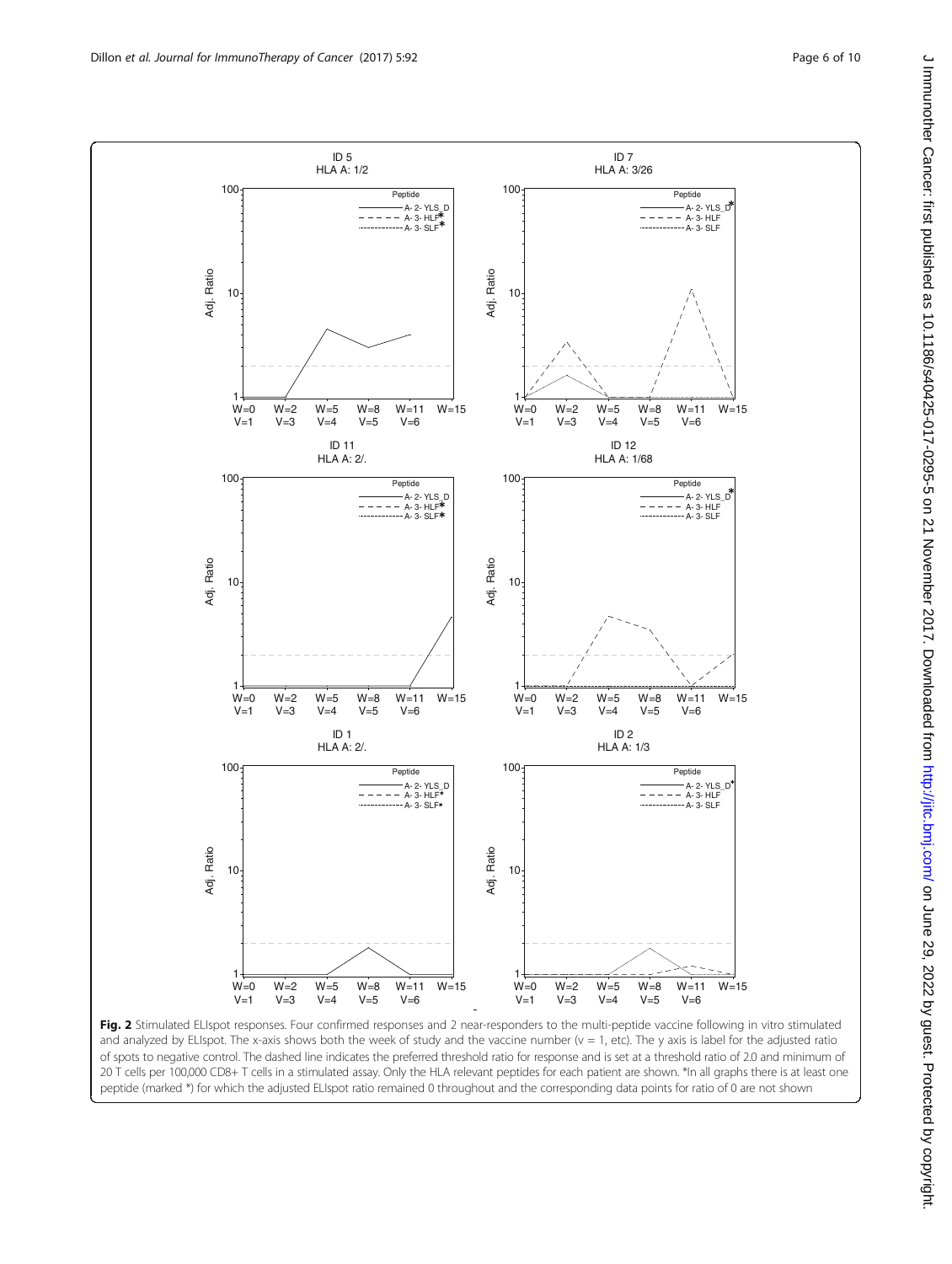<span id="page-5-0"></span>

Fig. 2 Stimulated ELIspot responses. Four confirmed responses and 2 near-responders to the multi-peptide vaccine following in vitro stimulated and analyzed by ELIspot. The x-axis shows both the week of study and the vaccine number  $(v = 1,$  etc). The y axis is label for the adjusted ratio of spots to negative control. The dashed line indicates the preferred threshold ratio for response and is set at a threshold ratio of 2.0 and minimum of 20 T cells per 100,000 CD8+ T cells in a stimulated assay. Only the HLA relevant peptides for each patient are shown. \*In all graphs there is at least one peptide (marked \*) for which the adjusted ELIspot ratio remained 0 throughout and the corresponding data points for ratio of 0 are not shown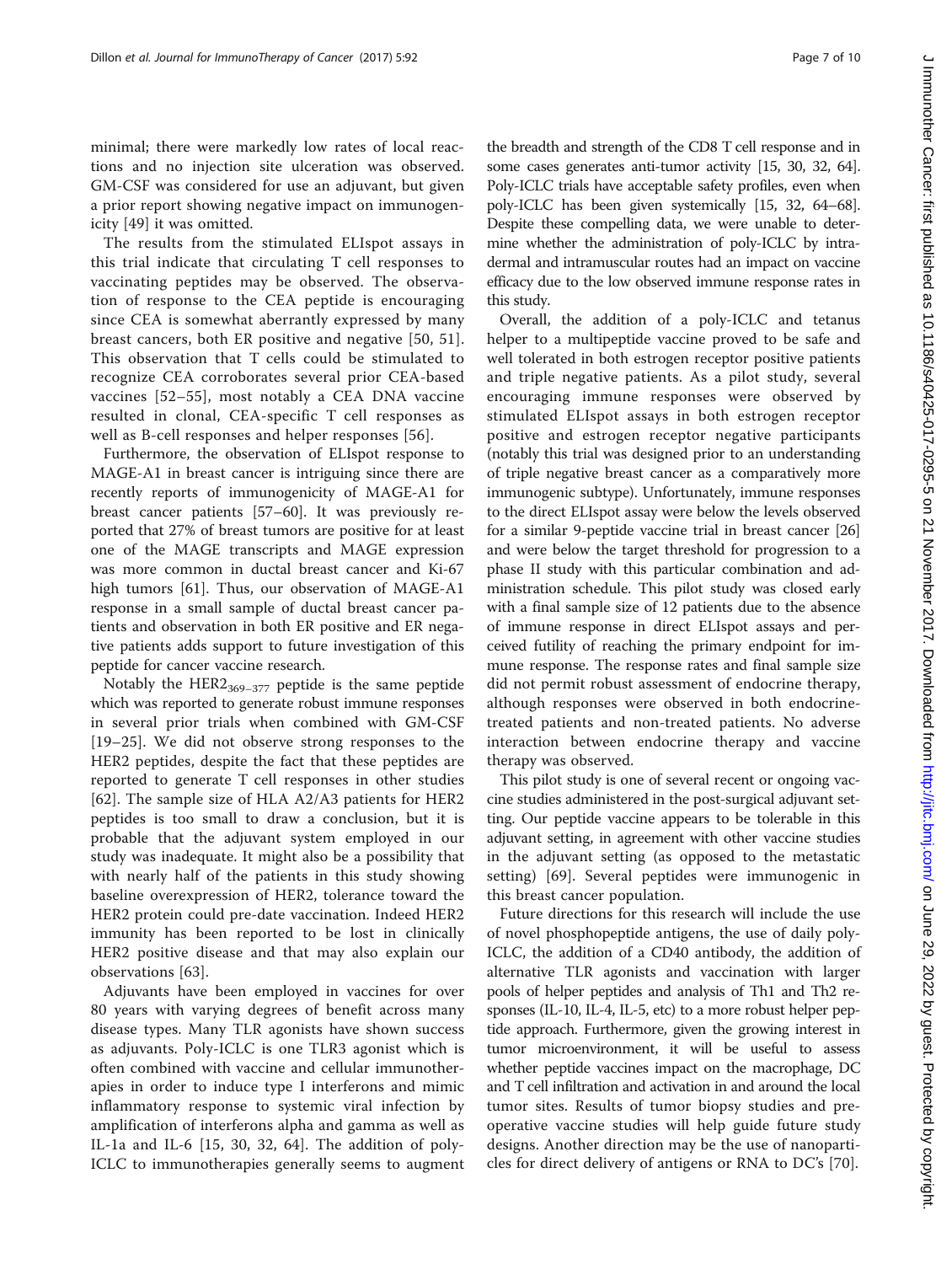minimal; there were markedly low rates of local reactions and no injection site ulceration was observed. GM-CSF was considered for use an adjuvant, but given a prior report showing negative impact on immunogenicity [\[49](#page-9-0)] it was omitted.

The results from the stimulated ELIspot assays in this trial indicate that circulating T cell responses to vaccinating peptides may be observed. The observation of response to the CEA peptide is encouraging since CEA is somewhat aberrantly expressed by many breast cancers, both ER positive and negative [[50](#page-9-0), [51](#page-9-0)]. This observation that T cells could be stimulated to recognize CEA corroborates several prior CEA-based vaccines [[52](#page-9-0)–[55\]](#page-9-0), most notably a CEA DNA vaccine resulted in clonal, CEA-specific T cell responses as well as B-cell responses and helper responses [[56](#page-9-0)].

Furthermore, the observation of ELIspot response to MAGE-A1 in breast cancer is intriguing since there are recently reports of immunogenicity of MAGE-A1 for breast cancer patients [\[57](#page-9-0)–[60\]](#page-9-0). It was previously reported that 27% of breast tumors are positive for at least one of the MAGE transcripts and MAGE expression was more common in ductal breast cancer and Ki-67 high tumors [[61\]](#page-9-0). Thus, our observation of MAGE-A1 response in a small sample of ductal breast cancer patients and observation in both ER positive and ER negative patients adds support to future investigation of this peptide for cancer vaccine research.

Notably the  $HER2_{369-377}$  peptide is the same peptide which was reported to generate robust immune responses in several prior trials when combined with GM-CSF [[19](#page-8-0)–[25\]](#page-8-0). We did not observe strong responses to the HER2 peptides, despite the fact that these peptides are reported to generate T cell responses in other studies [[62\]](#page-9-0). The sample size of HLA A2/A3 patients for HER2 peptides is too small to draw a conclusion, but it is probable that the adjuvant system employed in our study was inadequate. It might also be a possibility that with nearly half of the patients in this study showing baseline overexpression of HER2, tolerance toward the HER2 protein could pre-date vaccination. Indeed HER2 immunity has been reported to be lost in clinically HER2 positive disease and that may also explain our observations [\[63](#page-9-0)].

Adjuvants have been employed in vaccines for over 80 years with varying degrees of benefit across many disease types. Many TLR agonists have shown success as adjuvants. Poly-ICLC is one TLR3 agonist which is often combined with vaccine and cellular immunotherapies in order to induce type I interferons and mimic inflammatory response to systemic viral infection by amplification of interferons alpha and gamma as well as IL-1a and IL-6  $[15, 30, 32, 64]$  $[15, 30, 32, 64]$  $[15, 30, 32, 64]$  $[15, 30, 32, 64]$  $[15, 30, 32, 64]$  $[15, 30, 32, 64]$ . The addition of poly-ICLC to immunotherapies generally seems to augment the breadth and strength of the CD8 T cell response and in some cases generates anti-tumor activity [\[15](#page-8-0), [30](#page-8-0), [32,](#page-8-0) [64](#page-9-0)]. Poly-ICLC trials have acceptable safety profiles, even when poly-ICLC has been given systemically [\[15](#page-8-0), [32](#page-8-0), [64](#page-9-0)–[68](#page-9-0)]. Despite these compelling data, we were unable to determine whether the administration of poly-ICLC by intradermal and intramuscular routes had an impact on vaccine efficacy due to the low observed immune response rates in this study.

Overall, the addition of a poly-ICLC and tetanus helper to a multipeptide vaccine proved to be safe and well tolerated in both estrogen receptor positive patients and triple negative patients. As a pilot study, several encouraging immune responses were observed by stimulated ELIspot assays in both estrogen receptor positive and estrogen receptor negative participants (notably this trial was designed prior to an understanding of triple negative breast cancer as a comparatively more immunogenic subtype). Unfortunately, immune responses to the direct ELIspot assay were below the levels observed for a similar 9-peptide vaccine trial in breast cancer [[26](#page-8-0)] and were below the target threshold for progression to a phase II study with this particular combination and administration schedule. This pilot study was closed early with a final sample size of 12 patients due to the absence of immune response in direct ELIspot assays and perceived futility of reaching the primary endpoint for immune response. The response rates and final sample size did not permit robust assessment of endocrine therapy, although responses were observed in both endocrinetreated patients and non-treated patients. No adverse interaction between endocrine therapy and vaccine therapy was observed.

This pilot study is one of several recent or ongoing vaccine studies administered in the post-surgical adjuvant setting. Our peptide vaccine appears to be tolerable in this adjuvant setting, in agreement with other vaccine studies in the adjuvant setting (as opposed to the metastatic setting) [[69\]](#page-9-0). Several peptides were immunogenic in this breast cancer population.

Future directions for this research will include the use of novel phosphopeptide antigens, the use of daily poly-ICLC, the addition of a CD40 antibody, the addition of alternative TLR agonists and vaccination with larger pools of helper peptides and analysis of Th1 and Th2 responses (IL-10, IL-4, IL-5, etc) to a more robust helper peptide approach. Furthermore, given the growing interest in tumor microenvironment, it will be useful to assess whether peptide vaccines impact on the macrophage, DC and T cell infiltration and activation in and around the local tumor sites. Results of tumor biopsy studies and preoperative vaccine studies will help guide future study designs. Another direction may be the use of nanoparticles for direct delivery of antigens or RNA to DC's [[70\]](#page-9-0).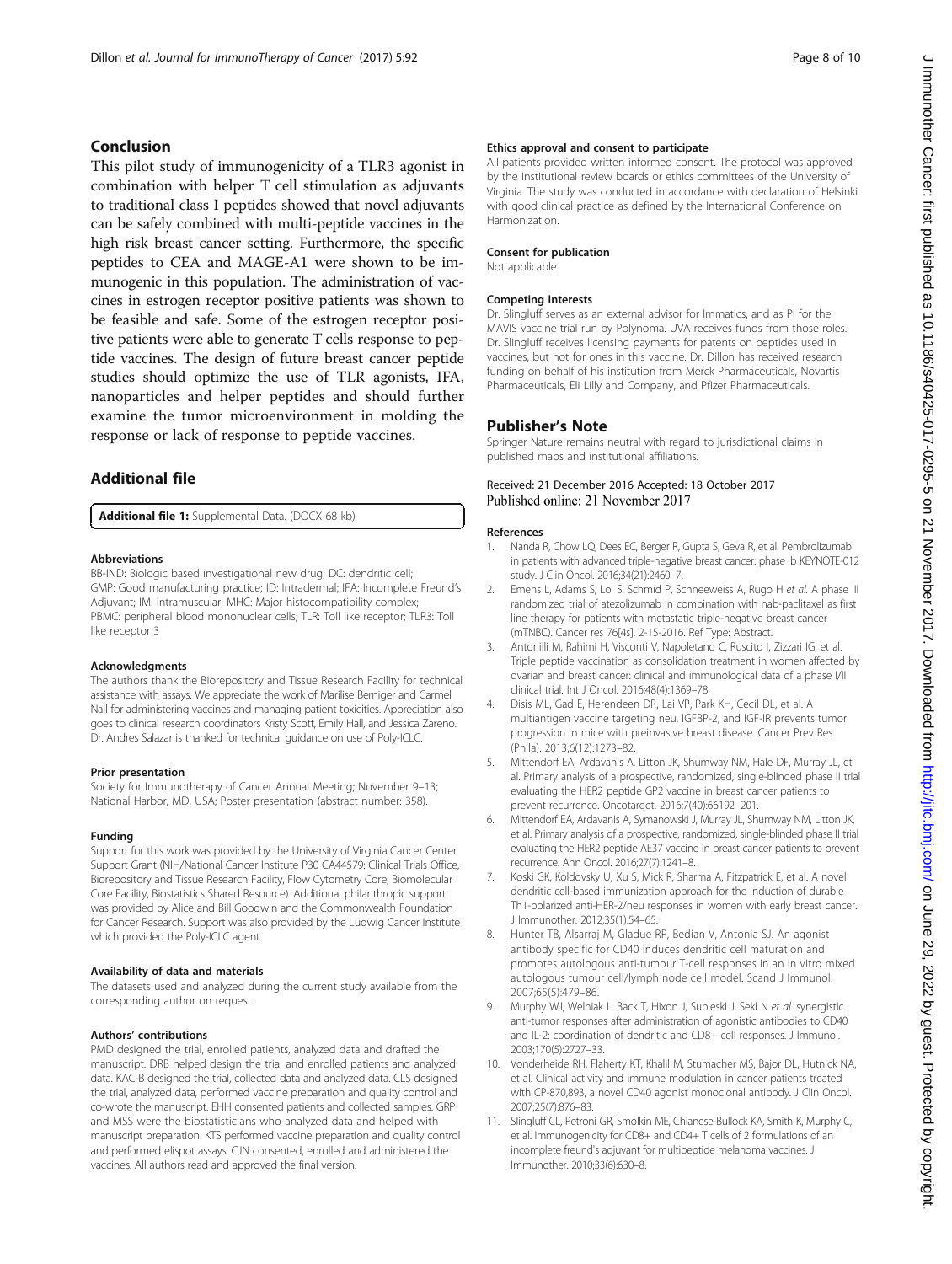### <span id="page-7-0"></span>Conclusion

This pilot study of immunogenicity of a TLR3 agonist in combination with helper T cell stimulation as adjuvants to traditional class I peptides showed that novel adjuvants can be safely combined with multi-peptide vaccines in the high risk breast cancer setting. Furthermore, the specific peptides to CEA and MAGE-A1 were shown to be immunogenic in this population. The administration of vaccines in estrogen receptor positive patients was shown to be feasible and safe. Some of the estrogen receptor positive patients were able to generate T cells response to peptide vaccines. The design of future breast cancer peptide studies should optimize the use of TLR agonists, IFA, nanoparticles and helper peptides and should further examine the tumor microenvironment in molding the response or lack of response to peptide vaccines.

### Additional file

[Additional file 1:](dx.doi.org/10.1186/s40425-017-0295-5) Supplemental Data. (DOCX 68 kb)

### Abbreviations

BB-IND: Biologic based investigational new drug; DC: dendritic cell; GMP: Good manufacturing practice; ID: Intradermal; IFA: Incomplete Freund's Adjuvant; IM: Intramuscular; MHC: Major histocompatibility complex; PBMC: peripheral blood mononuclear cells; TLR: Toll like receptor; TLR3: Toll like receptor 3

### Acknowledgments

The authors thank the Biorepository and Tissue Research Facility for technical assistance with assays. We appreciate the work of Marilise Berniger and Carmel Nail for administering vaccines and managing patient toxicities. Appreciation also goes to clinical research coordinators Kristy Scott, Emily Hall, and Jessica Zareno. Dr. Andres Salazar is thanked for technical guidance on use of Poly-ICLC.

### Prior presentation

Society for Immunotherapy of Cancer Annual Meeting; November 9–13; National Harbor, MD, USA; Poster presentation (abstract number: 358).

### Funding

Support for this work was provided by the University of Virginia Cancer Center Support Grant (NIH/National Cancer Institute P30 CA44579: Clinical Trials Office, Biorepository and Tissue Research Facility, Flow Cytometry Core, Biomolecular Core Facility, Biostatistics Shared Resource). Additional philanthropic support was provided by Alice and Bill Goodwin and the Commonwealth Foundation for Cancer Research. Support was also provided by the Ludwig Cancer Institute which provided the Poly-ICLC agent.

### Availability of data and materials

The datasets used and analyzed during the current study available from the corresponding author on request.

### Authors' contributions

PMD designed the trial, enrolled patients, analyzed data and drafted the manuscript. DRB helped design the trial and enrolled patients and analyzed data. KAC-B designed the trial, collected data and analyzed data. CLS designed the trial, analyzed data, performed vaccine preparation and quality control and co-wrote the manuscript. EHH consented patients and collected samples. GRP and MSS were the biostatisticians who analyzed data and helped with manuscript preparation. KTS performed vaccine preparation and quality control and performed elispot assays. CJN consented, enrolled and administered the vaccines. All authors read and approved the final version.

### Ethics approval and consent to participate

All patients provided written informed consent. The protocol was approved by the institutional review boards or ethics committees of the University of Virginia. The study was conducted in accordance with declaration of Helsinki with good clinical practice as defined by the International Conference on Harmonization.

### Consent for publication

Not applicable.

### Competing interests

Dr. Slingluff serves as an external advisor for Immatics, and as PI for the MAVIS vaccine trial run by Polynoma. UVA receives funds from those roles. Dr. Slingluff receives licensing payments for patents on peptides used in vaccines, but not for ones in this vaccine. Dr. Dillon has received research funding on behalf of his institution from Merck Pharmaceuticals, Novartis Pharmaceuticals, Eli Lilly and Company, and Pfizer Pharmaceuticals.

### Publisher's Note

Springer Nature remains neutral with regard to jurisdictional claims in published maps and institutional affiliations.

### Received: 21 December 2016 Accepted: 18 October 2017 Published online: 21 November 2017

### References

- 1. Nanda R, Chow LQ, Dees EC, Berger R, Gupta S, Geva R, et al. Pembrolizumab in patients with advanced triple-negative breast cancer: phase Ib KEYNOTE-012 study. J Clin Oncol. 2016;34(21):2460–7.
- 2. Emens L, Adams S, Loi S, Schmid P, Schneeweiss A, Rugo H et al. A phase III randomized trial of atezolizumab in combination with nab-paclitaxel as first line therapy for patients with metastatic triple-negative breast cancer (mTNBC). Cancer res 76[4s]. 2-15-2016. Ref Type: Abstract.
- 3. Antonilli M, Rahimi H, Visconti V, Napoletano C, Ruscito I, Zizzari IG, et al. Triple peptide vaccination as consolidation treatment in women affected by ovarian and breast cancer: clinical and immunological data of a phase I/II clinical trial. Int J Oncol. 2016;48(4):1369–78.
- 4. Disis ML, Gad E, Herendeen DR, Lai VP, Park KH, Cecil DL, et al. A multiantigen vaccine targeting neu, IGFBP-2, and IGF-IR prevents tumor progression in mice with preinvasive breast disease. Cancer Prev Res (Phila). 2013;6(12):1273–82.
- 5. Mittendorf EA, Ardavanis A, Litton JK, Shumway NM, Hale DF, Murray JL, et al. Primary analysis of a prospective, randomized, single-blinded phase II trial evaluating the HER2 peptide GP2 vaccine in breast cancer patients to prevent recurrence. Oncotarget. 2016;7(40):66192–201.
- 6. Mittendorf EA, Ardavanis A, Symanowski J, Murray JL, Shumway NM, Litton JK, et al. Primary analysis of a prospective, randomized, single-blinded phase II trial evaluating the HER2 peptide AE37 vaccine in breast cancer patients to prevent recurrence. Ann Oncol. 2016;27(7):1241–8.
- 7. Koski GK, Koldovsky U, Xu S, Mick R, Sharma A, Fitzpatrick E, et al. A novel dendritic cell-based immunization approach for the induction of durable Th1-polarized anti-HER-2/neu responses in women with early breast cancer. J Immunother. 2012;35(1):54–65.
- 8. Hunter TB, Alsarraj M, Gladue RP, Bedian V, Antonia SJ. An agonist antibody specific for CD40 induces dendritic cell maturation and promotes autologous anti-tumour T-cell responses in an in vitro mixed autologous tumour cell/lymph node cell model. Scand J Immunol. 2007;65(5):479–86.
- 9. Murphy WJ, Welniak L. Back T, Hixon J, Subleski J, Seki N et al. synergistic anti-tumor responses after administration of agonistic antibodies to CD40 and IL-2: coordination of dendritic and CD8+ cell responses. J Immunol. 2003;170(5):2727–33.
- 10. Vonderheide RH, Flaherty KT, Khalil M, Stumacher MS, Bajor DL, Hutnick NA, et al. Clinical activity and immune modulation in cancer patients treated with CP-870,893, a novel CD40 agonist monoclonal antibody. J Clin Oncol. 2007;25(7):876–83.
- 11. Slingluff CL, Petroni GR, Smolkin ME, Chianese-Bullock KA, Smith K, Murphy C, et al. Immunogenicity for CD8+ and CD4+ T cells of 2 formulations of an incomplete freund's adjuvant for multipeptide melanoma vaccines. J Immunother. 2010;33(6):630–8.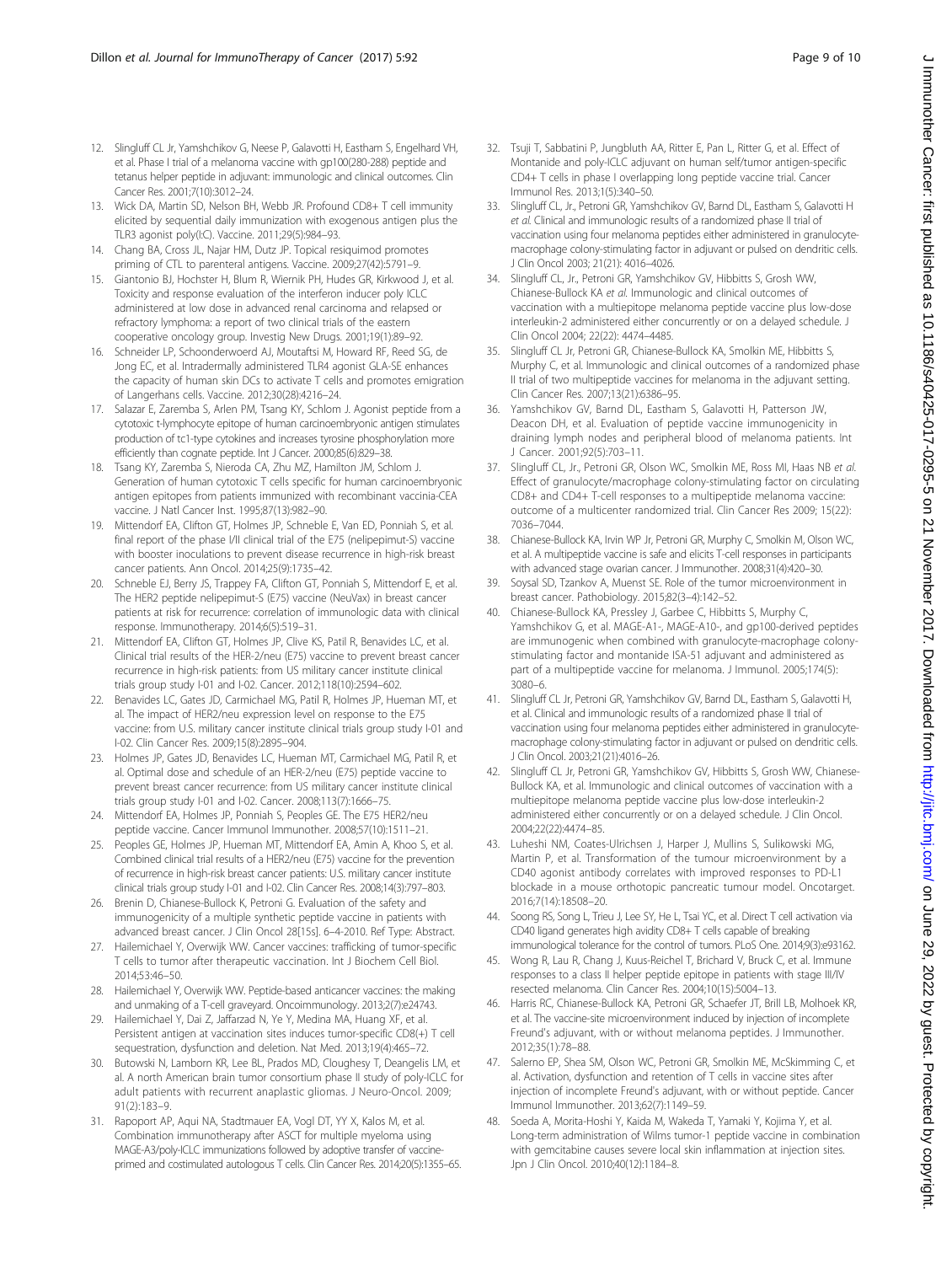- <span id="page-8-0"></span>12. Slingluff CL Jr, Yamshchikov G, Neese P, Galavotti H, Eastham S, Engelhard VH, et al. Phase I trial of a melanoma vaccine with gp100(280-288) peptide and tetanus helper peptide in adjuvant: immunologic and clinical outcomes. Clin Cancer Res. 2001;7(10):3012–24.
- 13. Wick DA, Martin SD, Nelson BH, Webb JR. Profound CD8+ T cell immunity elicited by sequential daily immunization with exogenous antigen plus the TLR3 agonist poly(I:C). Vaccine. 2011;29(5):984–93.
- 14. Chang BA, Cross JL, Najar HM, Dutz JP. Topical resiquimod promotes priming of CTL to parenteral antigens. Vaccine. 2009;27(42):5791–9.
- 15. Giantonio BJ, Hochster H, Blum R, Wiernik PH, Hudes GR, Kirkwood J, et al. Toxicity and response evaluation of the interferon inducer poly ICLC administered at low dose in advanced renal carcinoma and relapsed or refractory lymphoma: a report of two clinical trials of the eastern cooperative oncology group. Investig New Drugs. 2001;19(1):89–92.
- 16. Schneider LP, Schoonderwoerd AJ, Moutaftsi M, Howard RF, Reed SG, de Jong EC, et al. Intradermally administered TLR4 agonist GLA-SE enhances the capacity of human skin DCs to activate T cells and promotes emigration of Langerhans cells. Vaccine. 2012;30(28):4216–24.
- 17. Salazar E, Zaremba S, Arlen PM, Tsang KY, Schlom J. Agonist peptide from a cytotoxic t-lymphocyte epitope of human carcinoembryonic antigen stimulates production of tc1-type cytokines and increases tyrosine phosphorylation more efficiently than cognate peptide. Int J Cancer. 2000;85(6):829–38.
- 18. Tsang KY, Zaremba S, Nieroda CA, Zhu MZ, Hamilton JM, Schlom J. Generation of human cytotoxic T cells specific for human carcinoembryonic antigen epitopes from patients immunized with recombinant vaccinia-CEA vaccine. J Natl Cancer Inst. 1995;87(13):982–90.
- 19. Mittendorf EA, Clifton GT, Holmes JP, Schneble E, Van ED, Ponniah S, et al. final report of the phase I/II clinical trial of the E75 (nelipepimut-S) vaccine with booster inoculations to prevent disease recurrence in high-risk breast cancer patients. Ann Oncol. 2014;25(9):1735–42.
- 20. Schneble EJ, Berry JS, Trappey FA, Clifton GT, Ponniah S, Mittendorf E, et al. The HER2 peptide nelipepimut-S (E75) vaccine (NeuVax) in breast cancer patients at risk for recurrence: correlation of immunologic data with clinical response. Immunotherapy. 2014;6(5):519–31.
- 21. Mittendorf EA, Clifton GT, Holmes JP, Clive KS, Patil R, Benavides LC, et al. Clinical trial results of the HER-2/neu (E75) vaccine to prevent breast cancer recurrence in high-risk patients: from US military cancer institute clinical trials group study I-01 and I-02. Cancer. 2012;118(10):2594–602.
- 22. Benavides LC, Gates JD, Carmichael MG, Patil R, Holmes JP, Hueman MT, et al. The impact of HER2/neu expression level on response to the E75 vaccine: from U.S. military cancer institute clinical trials group study I-01 and I-02. Clin Cancer Res. 2009;15(8):2895–904.
- 23. Holmes JP, Gates JD, Benavides LC, Hueman MT, Carmichael MG, Patil R, et al. Optimal dose and schedule of an HER-2/neu (E75) peptide vaccine to prevent breast cancer recurrence: from US military cancer institute clinical trials group study I-01 and I-02. Cancer. 2008;113(7):1666–75.
- 24. Mittendorf EA, Holmes JP, Ponniah S, Peoples GE. The E75 HER2/neu peptide vaccine. Cancer Immunol Immunother. 2008;57(10):1511–21.
- 25. Peoples GE, Holmes JP, Hueman MT, Mittendorf EA, Amin A, Khoo S, et al. Combined clinical trial results of a HER2/neu (E75) vaccine for the prevention of recurrence in high-risk breast cancer patients: U.S. military cancer institute clinical trials group study I-01 and I-02. Clin Cancer Res. 2008;14(3):797–803.
- 26. Brenin D, Chianese-Bullock K, Petroni G. Evaluation of the safety and immunogenicity of a multiple synthetic peptide vaccine in patients with advanced breast cancer. J Clin Oncol 28[15s]. 6–4-2010. Ref Type: Abstract.
- 27. Hailemichael Y, Overwijk WW. Cancer vaccines: trafficking of tumor-specific T cells to tumor after therapeutic vaccination. Int J Biochem Cell Biol. 2014;53:46–50.
- 28. Hailemichael Y, Overwijk WW. Peptide-based anticancer vaccines: the making and unmaking of a T-cell graveyard. Oncoimmunology. 2013;2(7):e24743.
- 29. Hailemichael Y, Dai Z, Jaffarzad N, Ye Y, Medina MA, Huang XF, et al. Persistent antigen at vaccination sites induces tumor-specific CD8(+) T cell sequestration, dysfunction and deletion. Nat Med. 2013;19(4):465–72.
- 30. Butowski N, Lamborn KR, Lee BL, Prados MD, Cloughesy T, Deangelis LM, et al. A north American brain tumor consortium phase II study of poly-ICLC for adult patients with recurrent anaplastic gliomas. J Neuro-Oncol. 2009; 91(2):183–9.
- 31. Rapoport AP, Aqui NA, Stadtmauer EA, Vogl DT, YY X, Kalos M, et al. Combination immunotherapy after ASCT for multiple myeloma using MAGE-A3/poly-ICLC immunizations followed by adoptive transfer of vaccineprimed and costimulated autologous T cells. Clin Cancer Res. 2014;20(5):1355-65.
- 32. Tsuji T, Sabbatini P, Jungbluth AA, Ritter E, Pan L, Ritter G, et al. Effect of Montanide and poly-ICLC adjuvant on human self/tumor antigen-specific CD4+ T cells in phase I overlapping long peptide vaccine trial. Cancer Immunol Res. 2013;1(5):340–50.
- 33. Slingluff CL, Jr., Petroni GR, Yamshchikov GV, Barnd DL, Eastham S, Galavotti H et al. Clinical and immunologic results of a randomized phase II trial of vaccination using four melanoma peptides either administered in granulocytemacrophage colony-stimulating factor in adjuvant or pulsed on dendritic cells. J Clin Oncol 2003; 21(21): 4016–4026.
- 34. Slingluff CL, Jr., Petroni GR, Yamshchikov GV, Hibbitts S, Grosh WW, Chianese-Bullock KA et al. Immunologic and clinical outcomes of vaccination with a multiepitope melanoma peptide vaccine plus low-dose interleukin-2 administered either concurrently or on a delayed schedule. J Clin Oncol 2004; 22(22): 4474–4485.
- 35. Slingluff CL Jr, Petroni GR, Chianese-Bullock KA, Smolkin ME, Hibbitts S, Murphy C, et al. Immunologic and clinical outcomes of a randomized phase II trial of two multipeptide vaccines for melanoma in the adjuvant setting. Clin Cancer Res. 2007;13(21):6386–95.
- 36. Yamshchikov GV, Barnd DL, Eastham S, Galavotti H, Patterson JW, Deacon DH, et al. Evaluation of peptide vaccine immunogenicity in draining lymph nodes and peripheral blood of melanoma patients. Int J Cancer. 2001;92(5):703–11.
- 37. Slingluff CL, Jr., Petroni GR, Olson WC, Smolkin ME, Ross MI, Haas NB et al. Effect of granulocyte/macrophage colony-stimulating factor on circulating CD8+ and CD4+ T-cell responses to a multipeptide melanoma vaccine: outcome of a multicenter randomized trial. Clin Cancer Res 2009; 15(22): 7036–7044.
- 38. Chianese-Bullock KA, Irvin WP Jr, Petroni GR, Murphy C, Smolkin M, Olson WC, et al. A multipeptide vaccine is safe and elicits T-cell responses in participants with advanced stage ovarian cancer. J Immunother. 2008;31(4):420–30.
- 39. Soysal SD, Tzankov A, Muenst SE. Role of the tumor microenvironment in breast cancer. Pathobiology. 2015;82(3–4):142–52.
- 40. Chianese-Bullock KA, Pressley J, Garbee C, Hibbitts S, Murphy C, Yamshchikov G, et al. MAGE-A1-, MAGE-A10-, and gp100-derived peptides are immunogenic when combined with granulocyte-macrophage colonystimulating factor and montanide ISA-51 adjuvant and administered as part of a multipeptide vaccine for melanoma. J Immunol. 2005;174(5): 3080–6.
- 41. Slingluff CL Jr, Petroni GR, Yamshchikov GV, Barnd DL, Eastham S, Galavotti H, et al. Clinical and immunologic results of a randomized phase II trial of vaccination using four melanoma peptides either administered in granulocytemacrophage colony-stimulating factor in adjuvant or pulsed on dendritic cells. J Clin Oncol. 2003;21(21):4016–26.
- 42. Slingluff CL Jr, Petroni GR, Yamshchikov GV, Hibbitts S, Grosh WW, Chianese-Bullock KA, et al. Immunologic and clinical outcomes of vaccination with a multiepitope melanoma peptide vaccine plus low-dose interleukin-2 administered either concurrently or on a delayed schedule. J Clin Oncol. 2004;22(22):4474–85.
- 43. Luheshi NM, Coates-Ulrichsen J, Harper J, Mullins S, Sulikowski MG, Martin P, et al. Transformation of the tumour microenvironment by a CD40 agonist antibody correlates with improved responses to PD-L1 blockade in a mouse orthotopic pancreatic tumour model. Oncotarget. 2016;7(14):18508–20.
- 44. Soong RS, Song L, Trieu J, Lee SY, He L, Tsai YC, et al. Direct T cell activation via CD40 ligand generates high avidity CD8+ T cells capable of breaking immunological tolerance for the control of tumors. PLoS One. 2014;9(3):e93162.
- 45. Wong R, Lau R, Chang J, Kuus-Reichel T, Brichard V, Bruck C, et al. Immune responses to a class II helper peptide epitope in patients with stage III/IV resected melanoma. Clin Cancer Res. 2004;10(15):5004–13.
- 46. Harris RC, Chianese-Bullock KA, Petroni GR, Schaefer JT, Brill LB, Molhoek KR, et al. The vaccine-site microenvironment induced by injection of incomplete Freund's adjuvant, with or without melanoma peptides. J Immunother. 2012;35(1):78–88.
- 47. Salerno EP, Shea SM, Olson WC, Petroni GR, Smolkin ME, McSkimming C, et al. Activation, dysfunction and retention of T cells in vaccine sites after injection of incomplete Freund's adjuvant, with or without peptide. Cancer Immunol Immunother. 2013;62(7):1149–59.
- Soeda A, Morita-Hoshi Y, Kaida M, Wakeda T, Yamaki Y, Kojima Y, et al. Long-term administration of Wilms tumor-1 peptide vaccine in combination with gemcitabine causes severe local skin inflammation at injection sites. Jpn J Clin Oncol. 2010;40(12):1184–8.